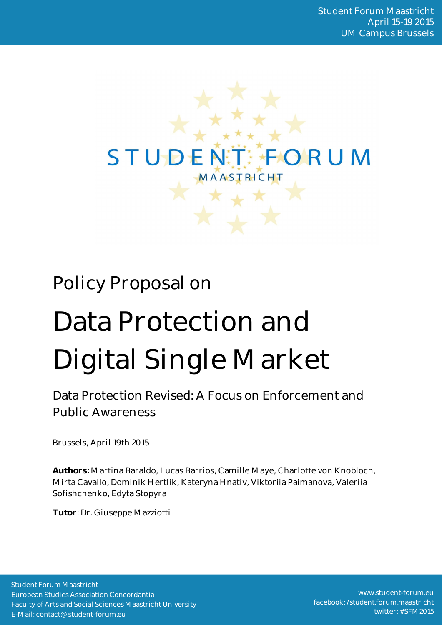

# Policy Proposal on

# Data Protection and Digital Single Market

Data Protection Revised: A Focus on Enforcement and Public Awareness

Brussels, April 19th 2015

**Authors:** Martina Baraldo, Lucas Barrios, Camille Maye, Charlotte von Knobloch, Mirta Cavallo, Dominik Hertlik, Kateryna Hnativ, Viktoriia Paimanova, Valeriia Sofishchenko, Edyta Stopyra

**Tutor**: Dr. Giuseppe Mazziotti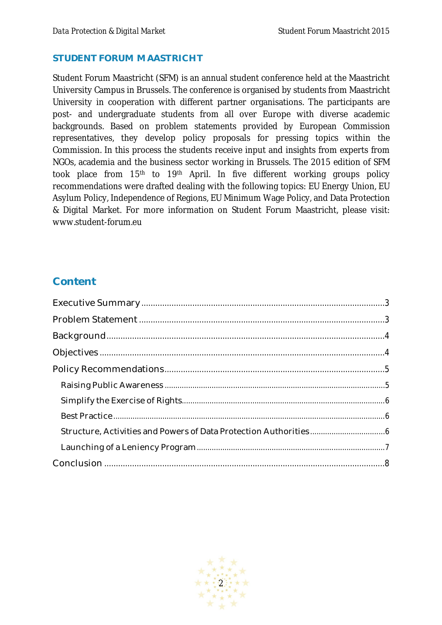#### **STUDENT FORUM MAASTRICHT**

Student Forum Maastricht (SFM) is an annual student conference held at the Maastricht University Campus in Brussels. The conference is organised by students from Maastricht University in cooperation with different partner organisations. The participants are post- and undergraduate students from all over Europe with diverse academic backgrounds. Based on problem statements provided by European Commission representatives, they develop policy proposals for pressing topics within the Commission. In this process the students receive input and insights from experts from NGOs, academia and the business sector working in Brussels. The 2015 edition of SFM took place from 15<sup>th</sup> to 19<sup>th</sup> April. In five different working groups policy recommendations were drafted dealing with the following topics: EU Energy Union, EU Asylum Policy, Independence of Regions, EU Minimum Wage Policy, and Data Protection & Digital Market. For more information on Student Forum Maastricht, please visit: www.student-forum.eu

# **Content**

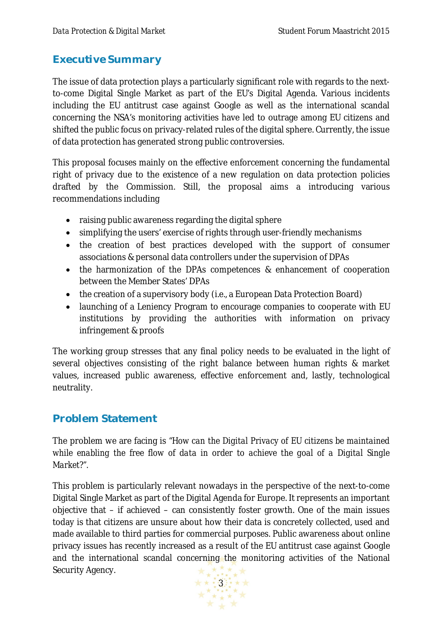# **Executive Summary**

The issue of data protection plays a particularly significant role with regards to the nextto-come Digital Single Market as part of the EU's Digital Agenda. Various incidents including the EU antitrust case against Google as well as the international scandal concerning the NSA's monitoring activities have led to outrage among EU citizens and shifted the public focus on privacy-related rules of the digital sphere. Currently, the issue of data protection has generated strong public controversies.

This proposal focuses mainly on the effective enforcement concerning the fundamental right of privacy due to the existence of a new regulation on data protection policies drafted by the Commission. Still, the proposal aims a introducing various recommendations including

- raising public awareness regarding the digital sphere
- simplifying the users' exercise of rights through user-friendly mechanisms
- the creation of best practices developed with the support of consumer associations & personal data controllers under the supervision of DPAs
- the harmonization of the DPAs competences & enhancement of cooperation between the Member States' DPAs
- the creation of a supervisory body (i.e., a European Data Protection Board)
- launching of a Leniency Program to encourage companies to cooperate with EU institutions by providing the authorities with information on privacy infringement & proofs

The working group stresses that any final policy needs to be evaluated in the light of several objectives consisting of the right balance between human rights & market values, increased public awareness, effective enforcement and, lastly, technological neutrality.

# **Problem Statement**

The problem we are facing is *"How can the Digital Privacy of EU citizens be maintained while enabling the free flow of data in order to achieve the goal of a Digital Single Market?".* 

This problem is particularly relevant nowadays in the perspective of the next-to-come Digital Single Market as part of the Digital Agenda for Europe. It represents an important objective that – if achieved – can consistently foster growth. One of the main issues today is that citizens are unsure about how their data is concretely collected, used and made available to third parties for commercial purposes. Public awareness about online privacy issues has recently increased as a result of the EU antitrust case against Google and the international scandal concerning the monitoring activities of the National Security Agency.

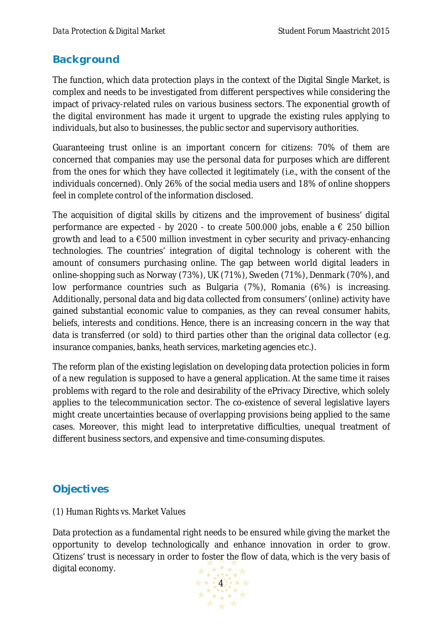## **Background**

The function, which data protection plays in the context of the Digital Single Market, is complex and needs to be investigated from different perspectives while considering the impact of privacy-related rules on various business sectors. The exponential growth of the digital environment has made it urgent to upgrade the existing rules applying to individuals, but also to businesses, the public sector and supervisory authorities.

Guaranteeing trust online is an important concern for citizens: 70% of them are concerned that companies may use the personal data for purposes which are different from the ones for which they have collected it legitimately (i.e., with the consent of the individuals concerned). Only 26% of the social media users and 18% of online shoppers feel in complete control of the information disclosed.

The acquisition of digital skills by citizens and the improvement of business' digital performance are expected - by 2020 - to create 500.000 jobs, enable a  $\epsilon$  250 billion growth and lead to a €500 million investment in cyber security and privacy-enhancing technologies. The countries' integration of digital technology is coherent with the amount of consumers purchasing online. The gap between world digital leaders in online-shopping such as Norway (73%), UK (71%), Sweden (71%), Denmark (70%), and low performance countries such as Bulgaria (7%), Romania (6%) is increasing. Additionally, personal data and big data collected from consumers' (online) activity have gained substantial economic value to companies, as they can reveal consumer habits, beliefs, interests and conditions. Hence, there is an increasing concern in the way that data is transferred (or sold) to third parties other than the original data collector (e.g. insurance companies, banks, heath services, marketing agencies etc.).

The reform plan of the existing legislation on developing data protection policies in form of a new regulation is supposed to have a general application. At the same time it raises problems with regard to the role and desirability of the ePrivacy Directive, which solely applies to the telecommunication sector. The co-existence of several legislative layers might create uncertainties because of overlapping provisions being applied to the same cases. Moreover, this might lead to interpretative difficulties, unequal treatment of different business sectors, and expensive and time-consuming disputes.

# **Objectives**

#### *(1) Human Rights vs. Market Values*

Data protection as a fundamental right needs to be ensured while giving the market the opportunity to develop technologically and enhance innovation in order to grow. Citizens' trust is necessary in order to foster the flow of data, which is the very basis of digital economy.

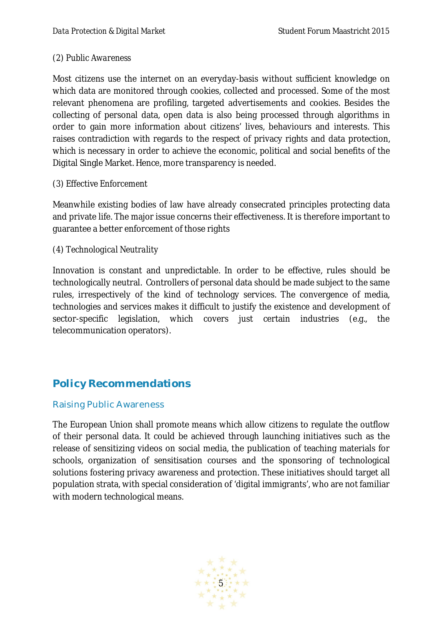#### *(2) Public Awareness*

Most citizens use the internet on an everyday-basis without sufficient knowledge on which data are monitored through cookies, collected and processed. Some of the most relevant phenomena are profiling, targeted advertisements and cookies. Besides the collecting of personal data, open data is also being processed through algorithms in order to gain more information about citizens' lives, behaviours and interests. This raises contradiction with regards to the respect of privacy rights and data protection, which is necessary in order to achieve the economic, political and social benefits of the Digital Single Market. Hence, more transparency is needed.

#### *(3) Effective Enforcement*

Meanwhile existing bodies of law have already consecrated principles protecting data and private life. The major issue concerns their effectiveness. It is therefore important to guarantee a better enforcement of those rights

#### *(4) Technological Neutrality*

Innovation is constant and unpredictable. In order to be effective, rules should be technologically neutral. Controllers of personal data should be made subject to the same rules, irrespectively of the kind of technology services. The convergence of media, technologies and services makes it difficult to justify the existence and development of sector-specific legislation, which covers just certain industries (e.g., the telecommunication operators).

# **Policy Recommendations**

#### Raising Public Awareness

The European Union shall promote means which allow citizens to regulate the outflow of their personal data. It could be achieved through launching initiatives such as the release of sensitizing videos on social media, the publication of teaching materials for schools, organization of sensitisation courses and the sponsoring of technological solutions fostering privacy awareness and protection. These initiatives should target all population strata, with special consideration of 'digital immigrants', who are not familiar with modern technological means.

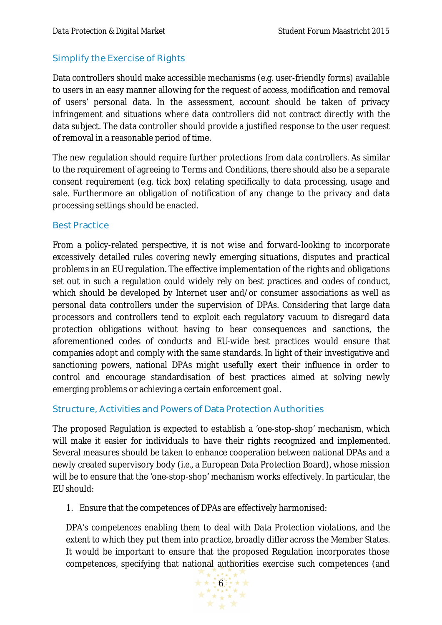#### Simplify the Exercise of Rights

Data controllers should make accessible mechanisms (e.g. user-friendly forms) available to users in an easy manner allowing for the request of access, modification and removal of users' personal data. In the assessment, account should be taken of privacy infringement and situations where data controllers did not contract directly with the data subject. The data controller should provide a justified response to the user request of removal in a reasonable period of time.

The new regulation should require further protections from data controllers. As similar to the requirement of agreeing to Terms and Conditions, there should also be a separate consent requirement (e.g. tick box) relating specifically to data processing, usage and sale. Furthermore an obligation of notification of any change to the privacy and data processing settings should be enacted.

#### Best Practice

From a policy-related perspective, it is not wise and forward-looking to incorporate excessively detailed rules covering newly emerging situations, disputes and practical problems in an EU regulation. The effective implementation of the rights and obligations set out in such a regulation could widely rely on best practices and codes of conduct, which should be developed by Internet user and/or consumer associations as well as personal data controllers under the supervision of DPAs. Considering that large data processors and controllers tend to exploit each regulatory vacuum to disregard data protection obligations without having to bear consequences and sanctions, the aforementioned codes of conducts and EU-wide best practices would ensure that companies adopt and comply with the same standards. In light of their investigative and sanctioning powers, national DPAs might usefully exert their influence in order to control and encourage standardisation of best practices aimed at solving newly emerging problems or achieving a certain enforcement goal.

#### Structure, Activities and Powers of Data Protection Authorities

The proposed Regulation is expected to establish a 'one-stop-shop' mechanism, which will make it easier for individuals to have their rights recognized and implemented. Several measures should be taken to enhance cooperation between national DPAs and a newly created supervisory body (i.e., a European Data Protection Board), whose mission will be to ensure that the 'one-stop-shop' mechanism works effectively. In particular, the EU should:

1. Ensure that the competences of DPAs are effectively harmonised:

DPA's competences enabling them to deal with Data Protection violations, and the extent to which they put them into practice, broadly differ across the Member States. It would be important to ensure that the proposed Regulation incorporates those competences, specifying that national authorities exercise such competences (and

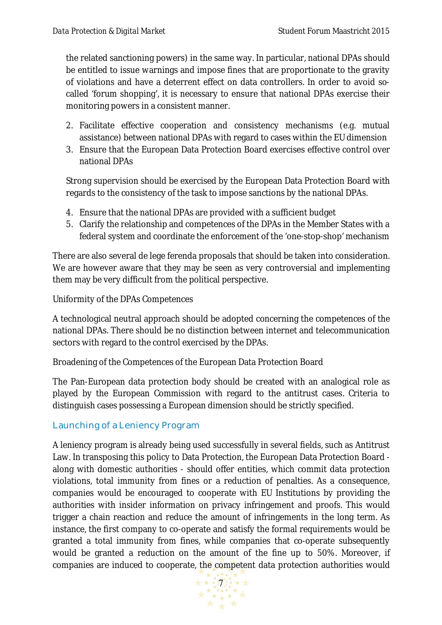the related sanctioning powers) in the same way. In particular, national DPAs should be entitled to issue warnings and impose fines that are proportionate to the gravity of violations and have a deterrent effect on data controllers. In order to avoid socalled 'forum shopping', it is necessary to ensure that national DPAs exercise their monitoring powers in a consistent manner.

- 2. Facilitate effective cooperation and consistency mechanisms (e.g. mutual assistance) between national DPAs with regard to cases within the EU dimension
- 3. Ensure that the European Data Protection Board exercises effective control over national DPAs

Strong supervision should be exercised by the European Data Protection Board with regards to the consistency of the task to impose sanctions by the national DPAs.

- 4. Ensure that the national DPAs are provided with a sufficient budget
- 5. Clarify the relationship and competences of the DPAs in the Member States with a federal system and coordinate the enforcement of the 'one-stop-shop' mechanism

There are also several de lege ferenda proposals that should be taken into consideration. We are however aware that they may be seen as very controversial and implementing them may be very difficult from the political perspective.

Uniformity of the DPAs Competences

A technological neutral approach should be adopted concerning the competences of the national DPAs. There should be no distinction between internet and telecommunication sectors with regard to the control exercised by the DPAs.

Broadening of the Competences of the European Data Protection Board

The Pan-European data protection body should be created with an analogical role as played by the European Commission with regard to the antitrust cases. Criteria to distinguish cases possessing a European dimension should be strictly specified.

### Launching of a Leniency Program

A leniency program is already being used successfully in several fields, such as Antitrust Law. In transposing this policy to Data Protection, the European Data Protection Board along with domestic authorities - should offer entities, which commit data protection violations, total immunity from fines or a reduction of penalties. As a consequence, companies would be encouraged to cooperate with EU Institutions by providing the authorities with insider information on privacy infringement and proofs. This would trigger a chain reaction and reduce the amount of infringements in the long term. As instance, the first company to co-operate and satisfy the formal requirements would be granted a total immunity from fines, while companies that co-operate subsequently would be granted a reduction on the amount of the fine up to 50%. Moreover, if companies are induced to cooperate, the competent data protection authorities would